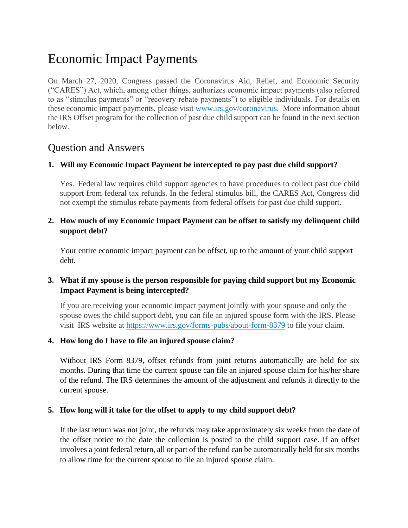# Economic Impact Payments

On March 27, 2020, Congress passed the Coronavirus Aid, Relief, and Economic Security ("CARES") Act, which, among other things, authorizes economic impact payments (also referred to as "stimulus payments" or "recovery rebate payments") to eligible individuals. For details on these economic impact payments, please visit [www.irs.gov/coronavirus.](http://www.irs.gov/coronavirus) More information about the IRS Offset program for the collection of past due child support can be found in the next section below.

# Question and Answers

## **1. Will my Economic Impact Payment be intercepted to pay past due child support?**

Yes. Federal law requires child support agencies to have procedures to collect past due child support from federal tax refunds. In the federal stimulus bill, the CARES Act, Congress did not exempt the stimulus rebate payments from federal offsets for past due child support.

# **2. How much of my Economic Impact Payment can be offset to satisfy my delinquent child support debt?**

Your entire economic impact payment can be offset, up to the amount of your child support debt.

# **3. What if my spouse is the person responsible for paying child support but my Economic Impact Payment is being intercepted?**

If you are receiving your economic impact payment jointly with your spouse and only the spouse owes the child support debt, you can file an injured spouse form with the IRS. Please visit IRS website at <https://www.irs.gov/forms-pubs/about-form-8379> to file your claim.

## **4. How long do I have to file an injured spouse claim?**

Without IRS Form 8379, offset refunds from joint returns automatically are held for six months. During that time the current spouse can file an injured spouse claim for his/her share of the refund. The IRS determines the amount of the adjustment and refunds it directly to the current spouse.

## **5. How long will it take for the offset to apply to my child support debt?**

If the last return was not joint, the refunds may take approximately six weeks from the date of the offset notice to the date the collection is posted to the child support case. If an offset involves a joint federal return, all or part of the refund can be automatically held for six months to allow time for the current spouse to file an injured spouse claim.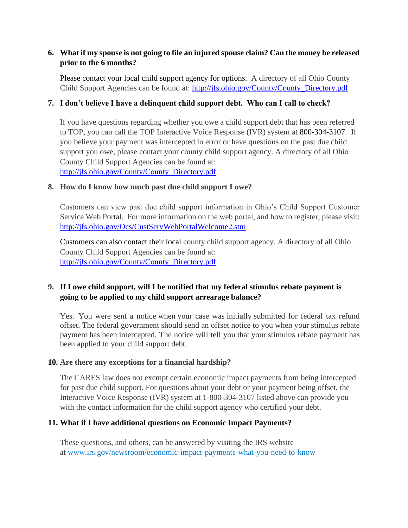# **6. What if my spouse is not going to file an injured spouse claim? Can the money be released prior to the 6 months?**

Please contact your local child support agency for options. A directory of all Ohio County Child Support Agencies can be found at: [http://jfs.ohio.gov/County/County\\_Directory.pdf](http://jfs.ohio.gov/County/County_Directory.pdf)

# **7. I don't believe I have a delinquent child support debt. Who can I call to check?**

If you have questions regarding whether you owe a child support debt that has been referred to TOP, you can call the TOP Interactive Voice Response (IVR) system at 800-304-3107. If you believe your payment was intercepted in error or have questions on the past due child support you owe, please contact your county child support agency. A directory of all Ohio County Child Support Agencies can be found at:

[http://jfs.ohio.gov/County/County\\_Directory.pdf](http://jfs.ohio.gov/County/County_Directory.pdf)

## **8. How do I know how much past due child support I owe?**

Customers can view past due child support information in Ohio's Child Support Customer Service Web Portal. For more information on the web portal, and how to register, please visit: <http://jfs.ohio.gov/Ocs/CustServWebPortalWelcome2.stm>

Customers can also contact their local county child support agency. A directory of all Ohio County Child Support Agencies can be found at: [http://jfs.ohio.gov/County/County\\_Directory.pdf](http://jfs.ohio.gov/County/County_Directory.pdf)

# **9. If I owe child support, will I be notified that my federal stimulus rebate payment is going to be applied to my child support arrearage balance?**

Yes. You were sent a notice when your case was initially submitted for federal tax refund offset. The federal government should send an offset notice to you when your stimulus rebate payment has been intercepted. The notice will tell you that your stimulus rebate payment has been applied to your child support debt.

## **10. Are there any exceptions for a financial hardship?**

The CARES law does not exempt certain economic impact payments from being intercepted for past due child support. For questions about your debt or your payment being offset, the Interactive Voice Response (IVR) system at 1-800-304-3107 listed above can provide you with the contact information for the child support agency who certified your debt.

## **11. What if I have additional questions on Economic Impact Payments?**

These questions, and others, can be answered by visiting the IRS website at [www.irs.gov/newsroom/economic-impact-payments-what-you-need-to-know](http://www.irs.gov/newsroom/economic-impact-payments-what-you-need-to-know)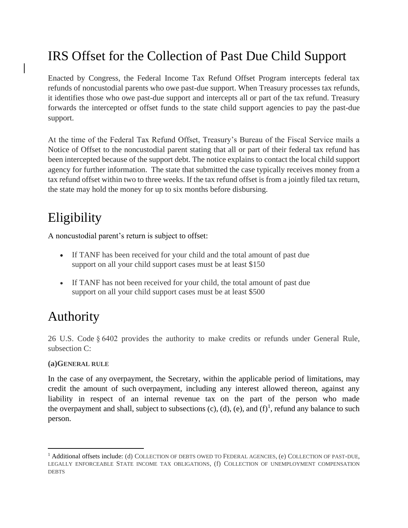# IRS Offset for the Collection of Past Due Child Support

Enacted by Congress, the Federal Income Tax Refund Offset Program intercepts federal tax refunds of noncustodial parents who owe past-due support. When Treasury processes tax refunds, it identifies those who owe past-due support and intercepts all or part of the tax refund. Treasury forwards the intercepted or offset funds to the state child support agencies to pay the past-due support.

At the time of the Federal Tax Refund Offset, Treasury's Bureau of the Fiscal Service mails a Notice of Offset to the noncustodial parent stating that all or part of their federal tax refund has been intercepted because of the support debt. The notice explains to contact the local child support agency for further information. The state that submitted the case typically receives money from a tax refund offset within two to three weeks. If the tax refund offset is from a jointly filed tax return, the state may hold the money for up to six months before disbursing.

# Eligibility

A noncustodial parent's return is subject to offset:

- If TANF has been received for your child and the total amount of past due support on all your child support cases must be at least \$150
- If TANF has not been received for your child, the total amount of past due support on all your child support cases must be at least \$500

# Authority

26 U.S. Code § 6402 provides the authority to make credits or refunds under General Rule, subsection C:

## **(a)GENERAL RULE**

In the case of any [overpayment,](https://www.law.cornell.edu/definitions/uscode.php?width=840&height=800&iframe=true&def_id=26-USC-1150968142-1590472090&term_occur=999&term_src=title:26:subtitle:F:chapter:65:subchapter:A:section:6402) the Secretary, within the applicable period of limitations, may credit the amount of such [overpayment,](https://www.law.cornell.edu/definitions/uscode.php?width=840&height=800&iframe=true&def_id=26-USC-1150968142-1590472090&term_occur=999&term_src=title:26:subtitle:F:chapter:65:subchapter:A:section:6402) including any interest allowed thereon, against any liability in respect of an internal revenue tax on the part of the person who made the [overpayment](https://www.law.cornell.edu/definitions/uscode.php?width=840&height=800&iframe=true&def_id=26-USC-1150968142-1590472090&term_occur=999&term_src=title:26:subtitle:F:chapter:65:subchapter:A:section:6402) and shall, subject to subsections  $(c)$ ,  $(d)$ ,  $(e)$ , and  $(f)^1$ , refund any balance to such person.

<sup>&</sup>lt;sup>1</sup> Additional offsets include: (d) COLLECTION OF DEBTS OWED TO FEDERAL AGENCIES, (e) COLLECTION OF PAST-DUE, LEGALLY ENFORCEABLE STATE INCOME TAX OBLIGATIONS, (f) COLLECTION OF UNEMPLOYMENT COMPENSATION **DEBTS**